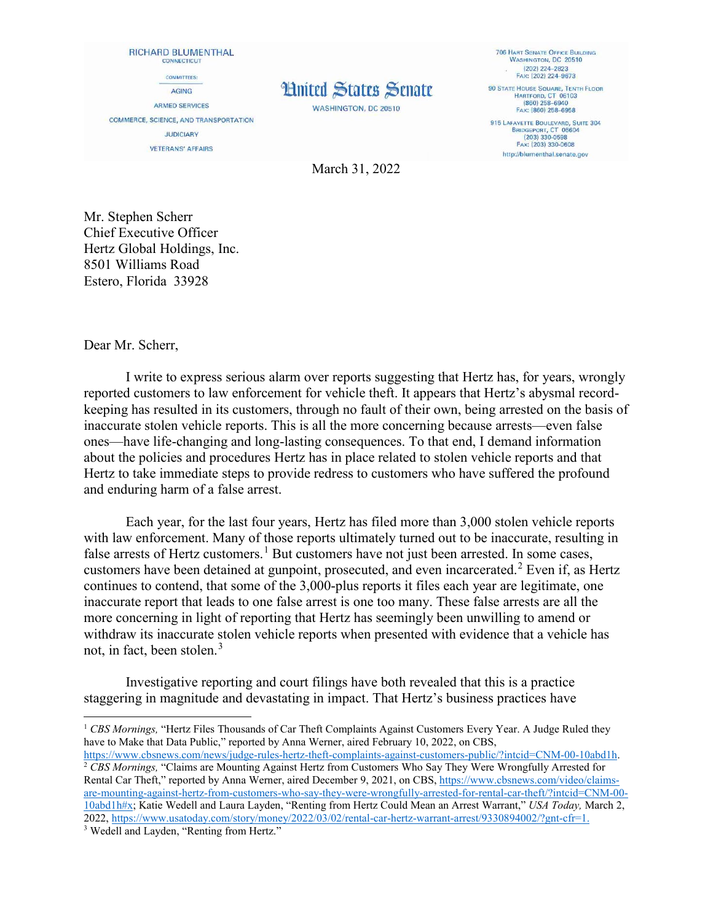RICHARD BLUMENTHAL CONNECTICUT COMMITTEES: **AGING ARMED SERVICES** COMMERCE, SCIENCE, AND TRANSPORTATION **JUDICIARY VETERANS' AFFAIRS** 

## **Hnited States Senate**

WASHINGTON, DC 20510

**706 HART SENATE OFFICE BUILDING<br>WASHINGTON, DC 20510**  $(202)$  224-2823 Fax: (202) 224-9673 **90 STATE HOUSE SQUARE, TENTH FLOOR** HARTFORD, CT 06103 FAX: (860) 258-6958 915 LAFAYETTE BOULEVARD, SUITE 304<br>BRIDGEPORT, CT 06604<br>(203) 330-0598 FAx: (203) 330-0608 http://blumenthal.senate.gov

March 31, 2022

Mr. Stephen Scherr Chief Executive Officer Hertz Global Holdings, Inc. 8501 Williams Road Estero, Florida 33928

Dear Mr. Scherr,

I write to express serious alarm over reports suggesting that Hertz has, for years, wrongly reported customers to law enforcement for vehicle theft. It appears that Hertz's abysmal recordkeeping has resulted in its customers, through no fault of their own, being arrested on the basis of inaccurate stolen vehicle reports. This is all the more concerning because arrests—even false ones—have life-changing and long-lasting consequences. To that end, I demand information about the policies and procedures Hertz has in place related to stolen vehicle reports and that Hertz to take immediate steps to provide redress to customers who have suffered the profound and enduring harm of a false arrest.

Each year, for the last four years, Hertz has filed more than 3,000 stolen vehicle reports with law enforcement. Many of those reports ultimately turned out to be inaccurate, resulting in false arrests of Hertz customers.<sup>[1](#page-0-0)</sup> But customers have not just been arrested. In some cases, customers have been detained at gunpoint, prosecuted, and even incarcerated.<sup>[2](#page-0-1)</sup> Even if, as Hertz continues to contend, that some of the 3,000-plus reports it files each year are legitimate, one inaccurate report that leads to one false arrest is one too many. These false arrests are all the more concerning in light of reporting that Hertz has seemingly been unwilling to amend or withdraw its inaccurate stolen vehicle reports when presented with evidence that a vehicle has not, in fact, been stolen.<sup>[3](#page-0-2)</sup>

Investigative reporting and court filings have both revealed that this is a practice staggering in magnitude and devastating in impact. That Hertz's business practices have

<span id="page-0-1"></span>[https://www.cbsnews.com/news/judge-rules-hertz-theft-complaints-against-customers-public/?intcid=CNM-00-10abd1h.](https://www.cbsnews.com/news/judge-rules-hertz-theft-complaints-against-customers-public/?intcid=CNM-00-10abd1h) <sup>2</sup> *CBS Mornings,* "Claims are Mounting Against Hertz from Customers Who Say They Were Wrongfully Arrested for Rental Car Theft," reported by Anna Werner, aired December 9, 2021, on CBS[, https://www.cbsnews.com/video/claims](https://www.cbsnews.com/video/claims-are-mounting-against-hertz-from-customers-who-say-they-were-wrongfully-arrested-for-rental-car-theft/?intcid=CNM-00-10abd1h#x)[are-mounting-against-hertz-from-customers-who-say-they-were-wrongfully-arrested-for-rental-car-theft/?intcid=CNM-00-](https://www.cbsnews.com/video/claims-are-mounting-against-hertz-from-customers-who-say-they-were-wrongfully-arrested-for-rental-car-theft/?intcid=CNM-00-10abd1h#x) [10abd1h#x;](https://www.cbsnews.com/video/claims-are-mounting-against-hertz-from-customers-who-say-they-were-wrongfully-arrested-for-rental-car-theft/?intcid=CNM-00-10abd1h#x) Katie Wedell and Laura Layden, "Renting from Hertz Could Mean an Arrest Warrant," *USA Today,* March 2, 2022, [https://www.usatoday.com/story/money/2022/03/02/rental-car-hertz-warrant-arrest/9330894002/?gnt-cfr=1.](https://www.usatoday.com/story/money/2022/03/02/rental-car-hertz-warrant-arrest/9330894002/?gnt-cfr=1)

 $\overline{a}$ 

<span id="page-0-0"></span><sup>&</sup>lt;sup>1</sup> CBS Mornings, "Hertz Files Thousands of Car Theft Complaints Against Customers Every Year. A Judge Ruled they have to Make that Data Public," reported by Anna Werner, aired February 10, 2022, on CBS,

<span id="page-0-2"></span><sup>&</sup>lt;sup>3</sup> Wedell and Layden, "Renting from Hertz."